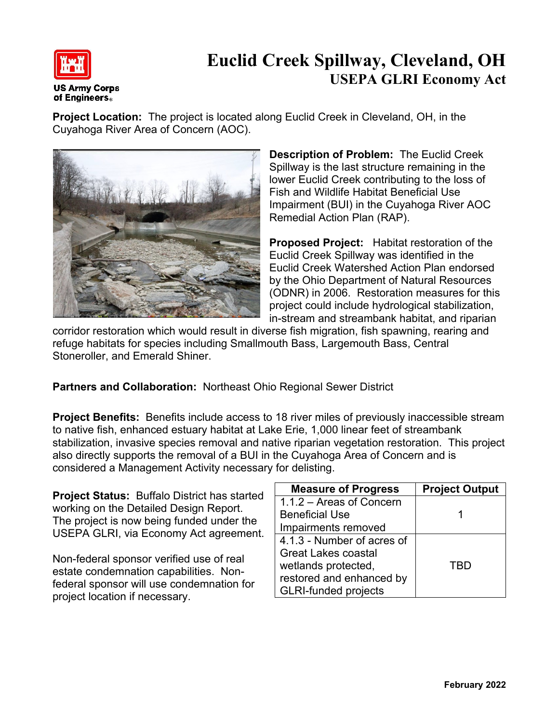

## **Euclid Creek Spillway, Cleveland, OH USEPA GLRI Economy Act**

**Project Location:** The project is located along Euclid Creek in Cleveland, OH, in the Cuyahoga River Area of Concern (AOC).



**Description of Problem:** The Euclid Creek Spillway is the last structure remaining in the lower Euclid Creek contributing to the loss of Fish and Wildlife Habitat Beneficial Use Impairment (BUI) in the Cuyahoga River AOC Remedial Action Plan (RAP).

**Proposed Project:** Habitat restoration of the Euclid Creek Spillway was identified in the Euclid Creek Watershed Action Plan endorsed by the Ohio Department of Natural Resources (ODNR) in 2006. Restoration measures for this project could include hydrological stabilization, in-stream and streambank habitat, and riparian

corridor restoration which would result in diverse fish migration, fish spawning, rearing and refuge habitats for species including Smallmouth Bass, Largemouth Bass, Central Stoneroller, and Emerald Shiner.

**Partners and Collaboration:** Northeast Ohio Regional Sewer District

**Project Benefits:** Benefits include access to 18 river miles of previously inaccessible stream to native fish, enhanced estuary habitat at Lake Erie, 1,000 linear feet of streambank stabilization, invasive species removal and native riparian vegetation restoration. This project also directly supports the removal of a BUI in the Cuyahoga Area of Concern and is considered a Management Activity necessary for delisting.

**Project Status:** Buffalo District has started working on the Detailed Design Report. The project is now being funded under the USEPA GLRI, via Economy Act agreement.

Non-federal sponsor verified use of real estate condemnation capabilities. Nonfederal sponsor will use condemnation for project location if necessary.

| <b>Measure of Progress</b>  | <b>Project Output</b> |
|-----------------------------|-----------------------|
| 1.1.2 - Areas of Concern    |                       |
| <b>Beneficial Use</b>       |                       |
| Impairments removed         |                       |
| 4.1.3 - Number of acres of  |                       |
| <b>Great Lakes coastal</b>  |                       |
| wetlands protected,         | TBD                   |
| restored and enhanced by    |                       |
| <b>GLRI-funded projects</b> |                       |